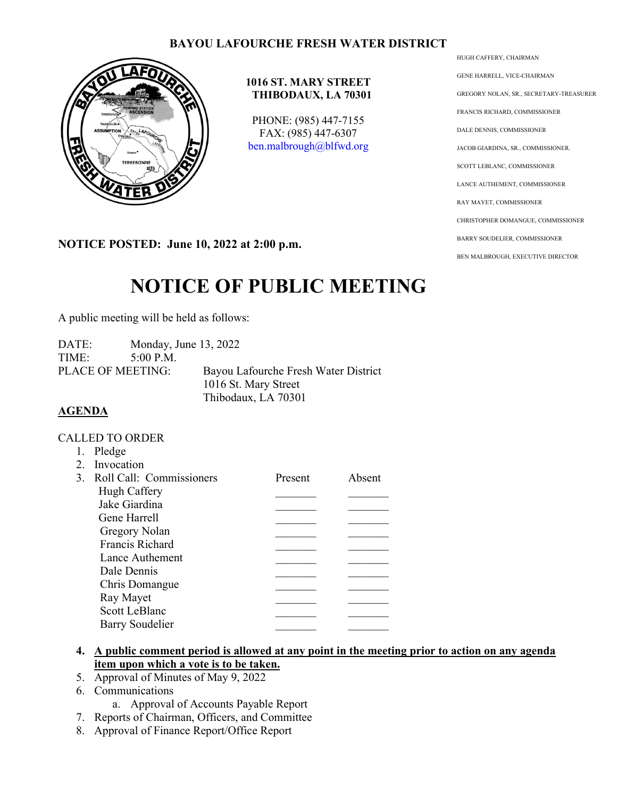# **BAYOU LAFOURCHE FRESH WATER DISTRICT**



## **1016 ST. MARY STREET THIBODAUX, LA 70301**

PHONE: (985) 447-7155 FAX: (985) 447-6307 [ben.malbrough@blfwd.org](mailto:ben.malbrough@blfwd.org)

**NOTICE POSTED: June 10, 2022 at 2:00 p.m.**

# **NOTICE OF PUBLIC MEETING**

A public meeting will be held as follows:

| DATE: | Monday, June 13, 2022    |                                      |
|-------|--------------------------|--------------------------------------|
| TIME: | $5:00$ P.M.              |                                      |
|       | <b>PLACE OF MEETING:</b> | Bayou Lafourche Fresh Water District |
|       |                          | 1016 St. Mary Street                 |
|       |                          | Thibodaux, LA 70301                  |

# **AGENDA**

#### CALLED TO ORDER

1. Pledge

|               | 1.045                       |         |        |
|---------------|-----------------------------|---------|--------|
| $\mathcal{P}$ | Invocation                  |         |        |
|               | 3. Roll Call: Commissioners | Present | Absent |
|               | Hugh Caffery                |         |        |
|               | Jake Giardina               |         |        |
|               | Gene Harrell                |         |        |
|               | Gregory Nolan               |         |        |
|               | Francis Richard             |         |        |
|               | Lance Authement             |         |        |
|               | Dale Dennis                 |         |        |
|               | Chris Domangue              |         |        |
|               | Ray Mayet                   |         |        |
|               | <b>Scott LeBlanc</b>        |         |        |
|               | Barry Soudelier             |         |        |
|               |                             |         |        |

## **4. A public comment period is allowed at any point in the meeting prior to action on any agenda item upon which a vote is to be taken.**

- 5. Approval of Minutes of May 9, 2022
- 6. Communications
	- a. Approval of Accounts Payable Report
- 7. Reports of Chairman, Officers, and Committee
- 8. Approval of Finance Report/Office Report

HUGH CAFFERY, CHAIRMAN GENE HARRELL, VICE-CHAIRMAN GREGORY NOLAN, SR., SECRETARY-TREASURER FRANCIS RICHARD, COMMISSIONER DALE DENNIS, COMMISSIONER JACOB GIARDINA, SR., COMMISSIONER. SCOTT LEBLANC, COMMISSIONER LANCE AUTHEMENT, COMMISSIONER RAY MAYET, COMMISSIONER CHRISTOPHER DOMANGUE, COMMISSIONER BARRY SOUDELIER, COMMISSIONER BEN MALBROUGH, EXECUTIVE DIRECTOR